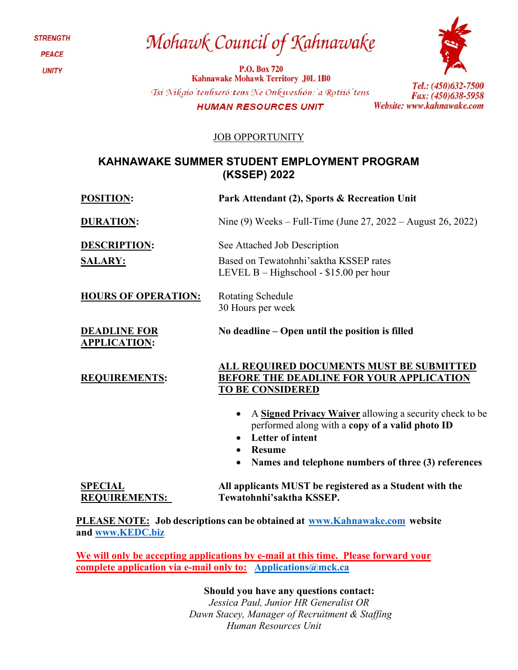**STRENGTH PEACE UNITY** 

# Mohawk Council of Kahnawake

P.O. Box 720 **Kahnawake Mohawk Territory J0L 1B0** Tsi Nikaio' tenhseró: tens Ne Onkweshón: 'a Rotiió' tens **HUMAN RESOURCES UNIT** 



Tel.: (450)632-7500

Fax: (450)638-5958

Website: www.kahnawake.com

JOB OPPORTUNITY

### **KAHNAWAKE SUMMER STUDENT EMPLOYMENT PROGRAM (KSSEP) 2022**

| <b>POSITION:</b>                           | Park Attendant (2), Sports & Recreation Unit                                                                                                                                                                                                  |
|--------------------------------------------|-----------------------------------------------------------------------------------------------------------------------------------------------------------------------------------------------------------------------------------------------|
| <b>DURATION:</b>                           | Nine (9) Weeks – Full-Time (June 27, 2022 – August 26, 2022)                                                                                                                                                                                  |
| <b>DESCRIPTION:</b>                        | See Attached Job Description                                                                                                                                                                                                                  |
| <b>SALARY:</b>                             | Based on Tewatohnhi's aktha KSSEP rates<br>LEVEL B – Highschool - $$15.00$ per hour                                                                                                                                                           |
| <b>HOURS OF OPERATION:</b>                 | Rotating Schedule<br>30 Hours per week                                                                                                                                                                                                        |
| <b>DEADLINE FOR</b><br><b>APPLICATION:</b> | No deadline – Open until the position is filled                                                                                                                                                                                               |
| <b>REQUIREMENTS:</b>                       | ALL REQUIRED DOCUMENTS MUST BE SUBMITTED<br><b>BEFORE THE DEADLINE FOR YOUR APPLICATION</b><br><b>TO BE CONSIDERED</b>                                                                                                                        |
|                                            | A Signed Privacy Waiver allowing a security check to be<br>performed along with a copy of a valid photo ID<br>Letter of intent<br>$\bullet$<br><b>Resume</b><br>$\bullet$<br>Names and telephone numbers of three (3) references<br>$\bullet$ |
| <b>SPECIAL</b><br><b>REQUIREMENTS:</b>     | All applicants MUST be registered as a Student with the<br>Tewatohnhi'saktha KSSEP.                                                                                                                                                           |

**PLEASE NOTE: Job descriptions can be obtained at [www.Kahnawake.com](http://www.kahnawake.com/) website and [www.KEDC.biz](http://www.kedc.biz/)**

**We will only be accepting applications by e-mail at this time. Please forward your complete application via e-mail only to: [Applications@mck.ca](mailto:Applications@mck.ca)**

**Should you have any questions contact:**

*Jessica Paul, Junior HR Generalist OR Dawn Stacey, Manager of Recruitment & Staffing Human Resources Unit*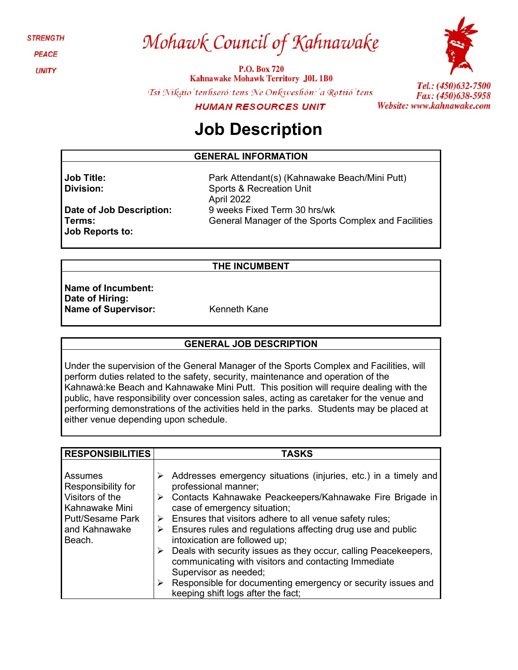**STRENGTH** 

**PEACE** 

**UNITY** 

# Mohawk Council of Kahnawake

**P.O. Box 720 Kahnawake Mohawk Territory J0L 1B0** 



Tsi Nikaio'tenhseró: tens Ne Onkweshón: 'a Rotiió' tens

**HUMAN RESOURCES UNIT** 

Tel.: (450)632-7500 Fax: (450)638-5958 Website: www.kahnawake.com

## **Job Description**

#### **GENERAL INFORMATION**

**Job Title: Division:**

**Terms:**

**Job Reports to:**

Park Attendant(s) (Kahnawake Beach/Mini Putt) Sports & Recreation Unit April 2022 9 weeks Fixed Term 30 hrs/wk General Manager of the Sports Complex and Facilities

#### **THE INCUMBENT**

**Name of Incumbent: Date of Hiring:** Name of Supervisor: Kenneth Kane

**Date of Job Description:**

#### **GENERAL JOB DESCRIPTION**

Under the supervision of the General Manager of the Sports Complex and Facilities, will perform duties related to the safety, security, maintenance and operation of the Kahnawà:ke Beach and Kahnawake Mini Putt. This position will require dealing with the public, have responsibility over concession sales, acting as caretaker for the venue and performing demonstrations of the activities held in the parks. Students may be placed at either venue depending upon schedule.

| <b>RESPONSIBILITIES</b>                                                                                                  | <b>TASKS</b>                                                                                                                                                                                                                                                                                                                                                                                                                                                                                                                                                                                                                                                                   |
|--------------------------------------------------------------------------------------------------------------------------|--------------------------------------------------------------------------------------------------------------------------------------------------------------------------------------------------------------------------------------------------------------------------------------------------------------------------------------------------------------------------------------------------------------------------------------------------------------------------------------------------------------------------------------------------------------------------------------------------------------------------------------------------------------------------------|
| Assumes<br>Responsibility for<br>Visitors of the<br>Kahnawake Mini<br><b>Putt/Sesame Park</b><br>and Kahnawake<br>Beach. | Addresses emergency situations (injuries, etc.) in a timely and<br>professional manner;<br>> Contacts Kahnawake Peackeepers/Kahnawake Fire Brigade in<br>case of emergency situation;<br>$\triangleright$ Ensures that visitors adhere to all venue safety rules;<br>$\triangleright$ Ensures rules and regulations affecting drug use and public<br>intoxication are followed up;<br>$\triangleright$ Deals with security issues as they occur, calling Peacekeepers,<br>communicating with visitors and contacting Immediate<br>Supervisor as needed;<br>$\triangleright$ Responsible for documenting emergency or security issues and<br>keeping shift logs after the fact; |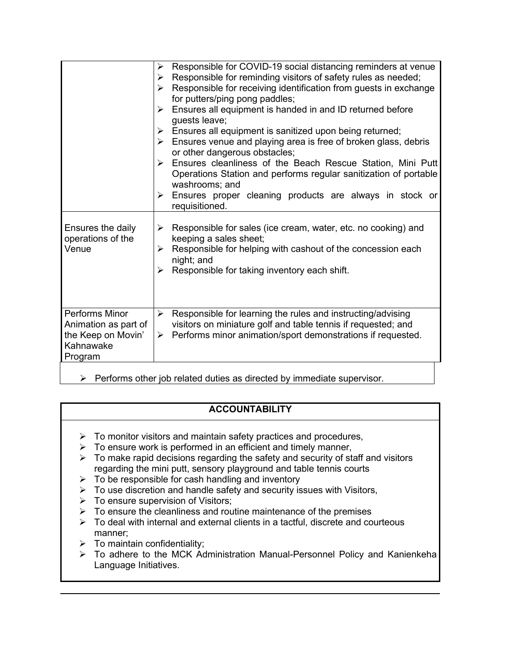|                                                                                         | Responsible for COVID-19 social distancing reminders at venue<br>➤<br>Responsible for reminding visitors of safety rules as needed;<br>➤<br>Responsible for receiving identification from guests in exchange<br>≻<br>for putters/ping pong paddles;<br>Ensures all equipment is handed in and ID returned before<br>⋗<br>guests leave;<br>Ensures all equipment is sanitized upon being returned;<br>≻<br>Ensures venue and playing area is free of broken glass, debris<br>≻<br>or other dangerous obstacles;<br>Ensures cleanliness of the Beach Rescue Station, Mini Putt<br>➤<br>Operations Station and performs regular sanitization of portable<br>washrooms; and<br>Ensures proper cleaning products are always in stock or<br>⋗<br>requisitioned. |  |
|-----------------------------------------------------------------------------------------|-----------------------------------------------------------------------------------------------------------------------------------------------------------------------------------------------------------------------------------------------------------------------------------------------------------------------------------------------------------------------------------------------------------------------------------------------------------------------------------------------------------------------------------------------------------------------------------------------------------------------------------------------------------------------------------------------------------------------------------------------------------|--|
| Ensures the daily<br>operations of the<br>Venue                                         | Responsible for sales (ice cream, water, etc. no cooking) and<br>≻<br>keeping a sales sheet;<br>Responsible for helping with cashout of the concession each<br>➤<br>night; and<br>Responsible for taking inventory each shift.<br>➤                                                                                                                                                                                                                                                                                                                                                                                                                                                                                                                       |  |
| Performs Minor<br>Animation as part of<br>the Keep on Movin'<br>Kahnawake<br>Program    | Responsible for learning the rules and instructing/advising<br>$\blacktriangleright$<br>visitors on miniature golf and table tennis if requested; and<br>Performs minor animation/sport demonstrations if requested.<br>≻                                                                                                                                                                                                                                                                                                                                                                                                                                                                                                                                 |  |
| $\triangleright$ Performs other job related duties as directed by immediate supervisor. |                                                                                                                                                                                                                                                                                                                                                                                                                                                                                                                                                                                                                                                                                                                                                           |  |

### **ACCOUNTABILITY**

- $\triangleright$  To monitor visitors and maintain safety practices and procedures,
- $\triangleright$  To ensure work is performed in an efficient and timely manner,
- $\triangleright$  To make rapid decisions regarding the safety and security of staff and visitors regarding the mini putt, sensory playground and table tennis courts
- $\triangleright$  To be responsible for cash handling and inventory
- $\triangleright$  To use discretion and handle safety and security issues with Visitors,
- $\triangleright$  To ensure supervision of Visitors;
- $\triangleright$  To ensure the cleanliness and routine maintenance of the premises
- $\triangleright$  To deal with internal and external clients in a tactful, discrete and courteous manner;
- $\triangleright$  To maintain confidentiality;
- To adhere to the MCK Administration Manual-Personnel Policy and Kanienkeha Language Initiatives.